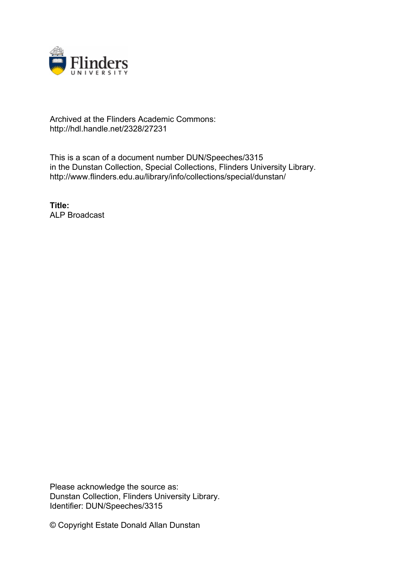

## Archived at the Flinders Academic Commons: http://hdl.handle.net/2328/27231

This is a scan of a document number DUN/Speeches/3315 in the Dunstan Collection, Special Collections, Flinders University Library. http://www.flinders.edu.au/library/info/collections/special/dunstan/

**Title:** ALP Broadcast

Please acknowledge the source as: Dunstan Collection, Flinders University Library. Identifier: DUN/Speeches/3315

© Copyright Estate Donald Allan Dunstan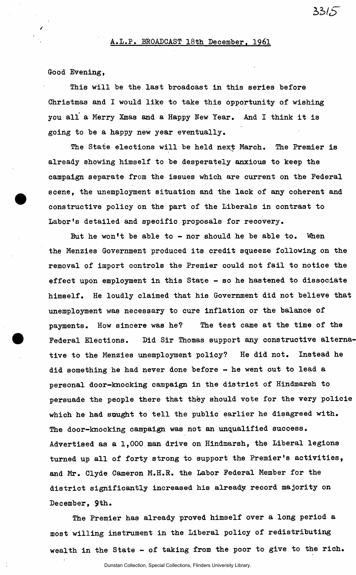Good Evening,

This will be the last broadcast in this series before Christmas and I would like to take this opportunity of wishing you all a Merry Xmas and a Happy New Year. And I think it is going to be a happy new year eventually.

The State elections will be held next March. The Premier is already showing himself to be desperately anxious to keep the campaign separate from the issues which are current on the Federal scene, the unemployment situation and the lack of any coherent and constructive policy on the part of the Liberals in contrast to Labor's detailed and specific proposals for recovery.

But he won't be able to  $-$  nor should he be able to. When the Menzies Government produced its credit squeeze following on the removal of import controls the Premier could not fail to notice the effect upon employment in this State  $-$  so he hastened to dissociate himself. He loudly claimed that his Government did not believe that unemployment was necessary to cure inflation or the balance of payments. How sincere was he? The test came at the time of the Federal Elections. Did Sir Thomas support any constructive alternative to the Menzies unemployment policy? He did not. Instead he did something he had never done before - he went out to lead a personal door-knocking campaign in the district of Hindmarsh to persuade the people there that they should vote for the very policie which he had sought to tell the public earlier he disagreed with. The door-knocking campaign was not an unqualified success. Advertised as a 1,000 man drive on Hindmarsh, the Liberal legions turned up all of forty strong to support the Premier's activities, and Mr. Clyde Cameron M.H.R. the Labor Federal Member for the district significantly increased his already, record majority on December, 9th.

The Premier has already proved himself over a long period a most willing instrument in the Liberal policy of redistributing wealth in the State - of taking from the poor to give to the rich.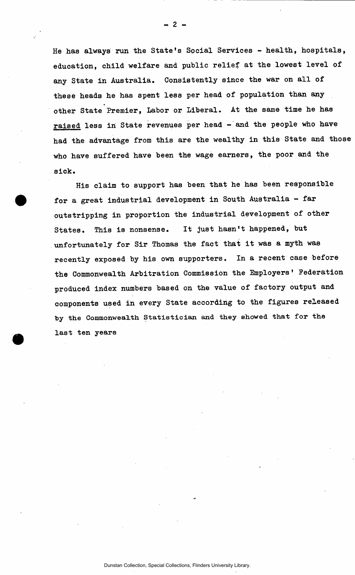He has always run the State's Social Services - health, hospitals, education, child welfare and public relief at the lowest level of any State in Australia. Consistently since the war on all of these heads he has spent less per head of population than any other State Premier, Labor or Liberal. At the same time he has raised less in State revenues per head - and the people who have had the advantage from this are the wealthy in this State and those who have suffered have been the wage earners, the poor and the sick.

His claim to support has been that he has been responsible for a great industrial development in South Australia - far outstripping in proportion the industrial development of other States. This is nonsense. It just hasn't happened, but unfortunately for Sir Thomas the fact that it was a myth was recently exposed by his own supporters. In a recent case before the Commonwealth Arbitration Commission the Employers' Federation produced index numbers based on the value of factory output and components used in every State according to the figures released by **the Commonwealth Statistician** and they **showed** that for the last ten years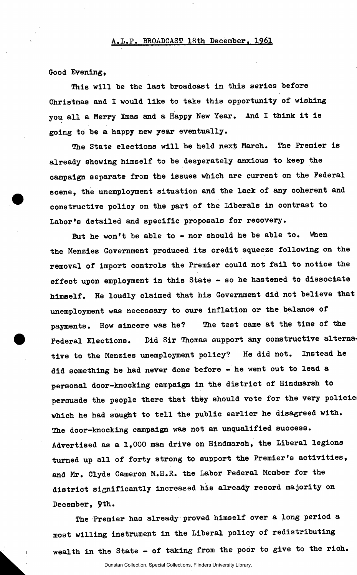## A.L.P. BROADCAST 18th December. 1961

Good Evening,

This will be the last broadcast in this series before Christmas and I would like to take this opportunity of wishing you all a Merry Xmas and a Happy New Year. And I think it is going to be a happy new year eventually.

The State elections will be held next March. The Premier is already showing himself to be desperately anxious to keep the campaign separate from the issues which are current on the Federal scene, the unemployment situation and the lack of any coherent and constructive policy on the part of the Liberals in contrast to Labor's detailed and specific proposals for recovery.

But he won't be able to - nor should he be able to. When the Menzies Government produced its credit squeeze following on the removal of import controls the Premier could not fail to notice the effect upon employment in this State - so he hastened to dissociate himself. He loudly claimed that his Government did not believe that unemployment was necessary to cure inflation or the balance of payments. How sincere was he? The test came at the time of the Federal Elections. Did Sir Thomas support any constructive alternative to the Menzies unemployment policy? He did not. Instead he did something he had never done before - he went out to lead a personal door-knocking campaign in the district of Hindmarsh to persuade the people there that they should vote for the very policie which he had sought to tell the public earlier he disagreed with. The door-knocking campaign was not an unqualified success. Advertised as a 1,000 man drive on Hindmarsh, the Liberal legions turned up all of forty strong to support the Premier's activities, and Mr. Clyde Cameron M.H.R. the Labor Federal Member for the district significantly increased his already record majority on December, 9th.

The Premier has already proved himself over a long period a most willing instrument in the Liberal policy of redistributing wealth in the State - of taking from the poor to give to the rich.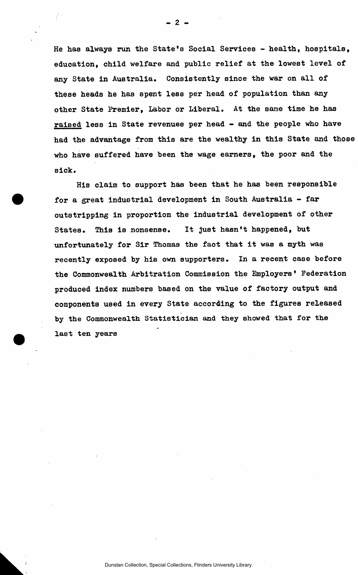He has always run the State's Social Services - health, hospitals, education, child welfare and public relief at the lowest level of any State in Australia. Consistently since the war on all of these heads he has spent less per head of population than any other State Premier, Labor or Liberal. At the same time he has raised less in State revenues per head - and the people who have had the advantage from this are the wealthy in this State and those who have suffered have been the wage earners, the poor and the sick.

His claim to support has been that he has been responsible for a great industrial development in South Australia - far outstripping in proportion the industrial development of other States. This is nonsense. It just hasn't happened, but unfortunately for Sir Thomas the faot that it was a myth was recently exposed by his own supporters. In a recent case before the Commonwealth Arbitration Commission the Employers' Federation produced index numbers based on the value of factory output and components used in every State according to the figures released by the Commonwealth Statistician and they showed that for the last ten years

- 2 -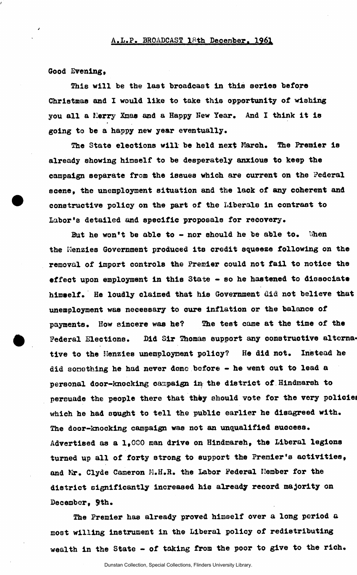Good Evening,

This will be the last broadcast in this series before Christmas and I would like to take this opportunity of wishing you all a Kerry Xmas and a Happy Hew Year, And I think it is going to be a happy new year eventually.

The State elections will be held next March. The Premier is already showing himself to be desperately anxious to keep the campaign separate from the issues which are current on the Federal scene, the unemployment situation and the lack of any coherent and constructive policy on the part of the Liberals in contrast to Labor's detailed and specific proposals for recovery.

But he won't be able to  $-$  nor should he be able to. When the Menzies Government produced its credit squeeze following on the removal of Import controls the Premier could not fail to notice the effect upon employment in this State - so he hastened to dissociate himself. He loudly claimed that his Government did not believe that unemployment was necessary to cure inflation or the balance of payments. How sincere was he? The test came at the time of the Federal Elections. Did Sir Thomas support any constructive alternative to the Henzies unemployment policy? He did not. Instead he did something he had never done before - he went out to lead a personal door-knocking campaign in the district of Hindmarsh to persuade the people there that they should vote for the very policies which he had sought to tell the public earlier he disagreed with. The door-knocking campaign was not an unqualified success. Advertised as a 1,000 man drive on Hindmarsh, the Liberal legions turned up all of forty strong to support the Premier's activities, and Mr. Clyde Cameron M.H.R. the Labor Federal Member for the district significantly increased hie already record majority on Decembor, 9th.

The Premier has already proved himself over a long period G most willing instrument in the Liberal policy of redistributing wealth in the State - of taking from the poor to give to the rich.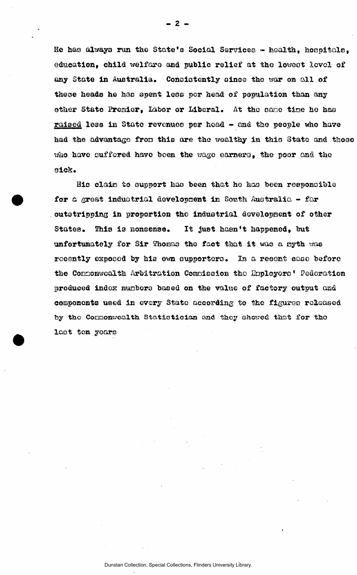He has always run the State's Social Services - health, hospitals, education, child welfare and public relief at the lowest level of any State in Australia. Consistently since the war on all of these heads he has spent less per head of population than any other State Premier, Labor or Liberal. At the same time he has raised less in State revenues per head - and the people who have had the advantage from this are the wealthy in this State and those who have suffered have been the wage earners, the poor and the eick.

His claim to support has been that he has been responsible for a great industrial development in South Australia - far outetripping in proportion the industrial development of other States. This is nonsense. It just hasn't happened, but unfortunately for Sir Thomas the fact that it was a nyth was recently exposed by his own supporters. In a recent case before the Connonwealth Arbitration Compission the Enployers' Federation produced indox numbers based on the value of factory output and components used in every State according to the figures released by the Conmonwealth Statistician aad they showed that for tho laot ten years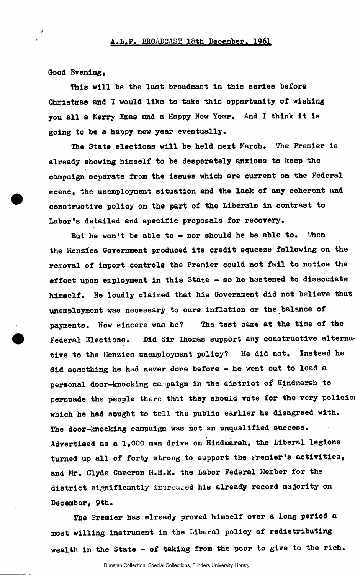Good Evening,

This will be the last broadcast in this series before Christmas and I would like to take this opportunity of wishing you all a Merry Xmas and a Happy New Year. And I think it is going to be a happy new year eventually.

The State elections will be held next March. The Premier is already showing himself to be desperately anxious to keep the campaign separate from the issues which are current on the Federal scene, the unemployment situation and the lack of any coherent and constructive policy on the part of the Liberals in contrast to Labor's detailed and specific proposals for recovery.

But he won't be able to - nor should he be able to. When the Menzies Government produced its credit squeeze following on the removal of import controls the Premier could not fail to notice the effect upon employment in this State - so he hastened to dissociate himself. He loudly claimed that his Government did not believe that unemployment was necessary to cure Inflation or the balance of payments. How sincere was he? The test came at the time of the Federal Elections. Did Sir Thomas support any constructive alternative to the Henzies unemployment policy? He did not. Instead he did something he had never done before - he went out to lead a personal door-knocking campaign in the district of Hindmarsh to persuade the people there that they should vote for the very policies which he had sought to tell the public earlier he disagreed with. The door-knocking campaign was not an unqualified sucoess. Advertised as a 1,000 man drive on Hindmarsh, the Liberal legions turned up all of forty strong to support the Premier's activities, and Mr. Clyde Cameron M.H.R. the Labor Federal Member for the district significantly increased his already record majority on December, 9th.

The Premier has already proved himself over a long period a most willing instrument in the Liberal policy of redistributing wealth in the State - of taking from the poor to give to the rich.